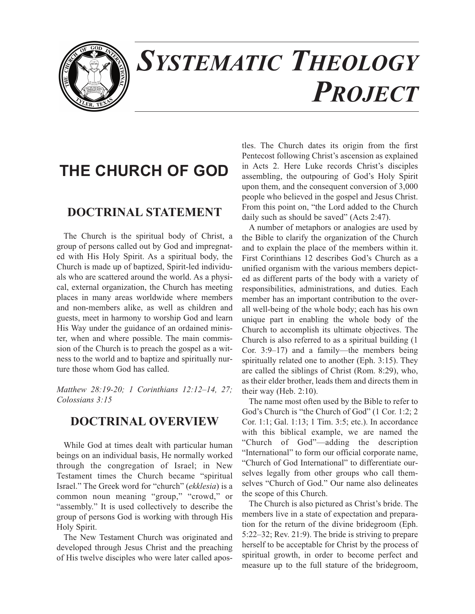

# *SYSTEMATIC THEOLOGY PROJECT*

## **THE CHURCH OF GOD**

### **DOCTRINAL STATEMENT**

The Church is the spiritual body of Christ, a group of persons called out by God and impregnated with His Holy Spirit. As a spiritual body, the Church is made up of baptized, Spirit-led individuals who are scattered around the world. As a physical, external organization, the Church has meeting places in many areas worldwide where members and non-members alike, as well as children and guests, meet in harmony to worship God and learn His Way under the guidance of an ordained minister, when and where possible. The main commission of the Church is to preach the gospel as a witness to the world and to baptize and spiritually nurture those whom God has called.

*Matthew 28:19-20; 1 Corinthians 12:12–14, 27; Colossians 3:15*

### **DOCTRINAL OVERVIEW**

While God at times dealt with particular human beings on an individual basis, He normally worked through the congregation of Israel; in New Testament times the Church became "spiritual Israel." The Greek word for "church" (*ekklesia*) is a common noun meaning "group," "crowd," or "assembly." It is used collectively to describe the group of persons God is working with through His Holy Spirit.

The New Testament Church was originated and developed through Jesus Christ and the preaching of His twelve disciples who were later called apostles. The Church dates its origin from the first Pentecost following Christ's ascension as explained in Acts 2. Here Luke records Christ's disciples assembling, the outpouring of God's Holy Spirit upon them, and the consequent conversion of 3,000 people who believed in the gospel and Jesus Christ. From this point on, "the Lord added to the Church daily such as should be saved" (Acts 2:47).

A number of metaphors or analogies are used by the Bible to clarify the organization of the Church and to explain the place of the members within it. First Corinthians 12 describes God's Church as a unified organism with the various members depicted as different parts of the body with a variety of responsibilities, administrations, and duties. Each member has an important contribution to the overall well-being of the whole body; each has his own unique part in enabling the whole body of the Church to accomplish its ultimate objectives. The Church is also referred to as a spiritual building (1 Cor. 3:9–17) and a family—the members being spiritually related one to another (Eph. 3:15). They are called the siblings of Christ (Rom. 8:29), who, as their elder brother, leads them and directs them in their way (Heb. 2:10).

The name most often used by the Bible to refer to God's Church is "the Church of God" (1 Cor. 1:2; 2 Cor. 1:1; Gal. 1:13; 1 Tim. 3:5; etc.). In accordance with this biblical example, we are named the "Church of God"—adding the description "International" to form our official corporate name, "Church of God International" to differentiate ourselves legally from other groups who call themselves "Church of God." Our name also delineates the scope of this Church.

The Church is also pictured as Christ's bride. The members live in a state of expectation and preparation for the return of the divine bridegroom (Eph. 5:22–32; Rev. 21:9). The bride is striving to prepare herself to be acceptable for Christ by the process of spiritual growth, in order to become perfect and measure up to the full stature of the bridegroom,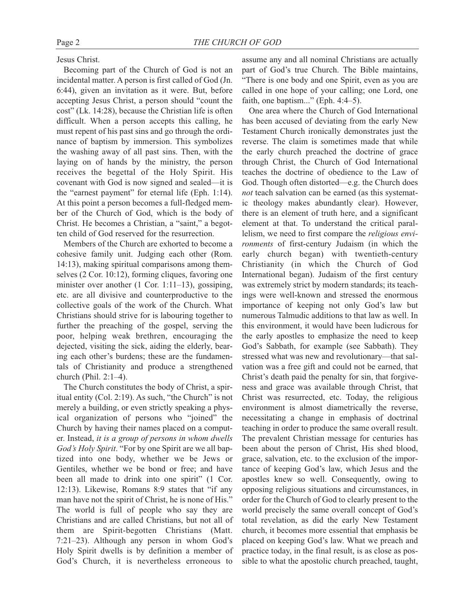Jesus Christ.

Becoming part of the Church of God is not an incidental matter. A person is first called of God (Jn. 6:44), given an invitation as it were. But, before accepting Jesus Christ, a person should "count the cost" (Lk. 14:28), because the Christian life is often difficult. When a person accepts this calling, he must repent of his past sins and go through the ordinance of baptism by immersion. This symbolizes the washing away of all past sins. Then, with the laying on of hands by the ministry, the person receives the begettal of the Holy Spirit. His covenant with God is now signed and sealed—it is the "earnest payment" for eternal life (Eph. 1:14). At this point a person becomes a full-fledged member of the Church of God, which is the body of Christ. He becomes a Christian, a "saint," a begotten child of God reserved for the resurrection.

Members of the Church are exhorted to become a cohesive family unit. Judging each other (Rom. 14:13), making spiritual comparisons among themselves (2 Cor. 10:12), forming cliques, favoring one minister over another (1 Cor. 1:11–13), gossiping, etc. are all divisive and counterproductive to the collective goals of the work of the Church. What Christians should strive for is labouring together to further the preaching of the gospel, serving the poor, helping weak brethren, encouraging the dejected, visiting the sick, aiding the elderly, bearing each other's burdens; these are the fundamentals of Christianity and produce a strengthened church (Phil. 2:1–4).

The Church constitutes the body of Christ, a spiritual entity (Col. 2:19). As such, "the Church" is not merely a building, or even strictly speaking a physical organization of persons who "joined" the Church by having their names placed on a computer. Instead, *it is a group of persons in whom dwells God's Holy Spirit*. "For by one Spirit are we all baptized into one body, whether we be Jews or Gentiles, whether we be bond or free; and have been all made to drink into one spirit" (1 Cor. 12:13). Likewise, Romans 8:9 states that "if any man have not the spirit of Christ, he is none of His." The world is full of people who say they are Christians and are called Christians, but not all of them are Spirit-begotten Christians (Matt. 7:21–23). Although any person in whom God's Holy Spirit dwells is by definition a member of God's Church, it is nevertheless erroneous to

assume any and all nominal Christians are actually part of God's true Church. The Bible maintains, "There is one body and one Spirit, even as you are called in one hope of your calling; one Lord, one faith, one baptism..." (Eph. 4:4–5).

One area where the Church of God International has been accused of deviating from the early New Testament Church ironically demonstrates just the reverse. The claim is sometimes made that while the early church preached the doctrine of grace through Christ, the Church of God International teaches the doctrine of obedience to the Law of God. Though often distorted—e.g. the Church does *not* teach salvation can be earned (as this systematic theology makes abundantly clear). However, there is an element of truth here, and a significant element at that. To understand the critical parallelism, we need to first compare the *religious environments* of first-century Judaism (in which the early church began) with twentieth-century Christianity (in which the Church of God International began). Judaism of the first century was extremely strict by modern standards; its teachings were well-known and stressed the enormous importance of keeping not only God's law but numerous Talmudic additions to that law as well. In this environment, it would have been ludicrous for the early apostles to emphasize the need to keep God's Sabbath, for example (see Sabbath). They stressed what was new and revolutionary—that salvation was a free gift and could not be earned, that Christ's death paid the penalty for sin, that forgiveness and grace was available through Christ, that Christ was resurrected, etc. Today, the religious environment is almost diametrically the reverse, necessitating a change in emphasis of doctrinal teaching in order to produce the same overall result. The prevalent Christian message for centuries has been about the person of Christ, His shed blood, grace, salvation, etc. to the exclusion of the importance of keeping God's law, which Jesus and the apostles knew so well. Consequently, owing to opposing religious situations and circumstances, in order for the Church of God to clearly present to the world precisely the same overall concept of God's total revelation, as did the early New Testament church, it becomes more essential that emphasis be placed on keeping God's law. What we preach and practice today, in the final result, is as close as possible to what the apostolic church preached, taught,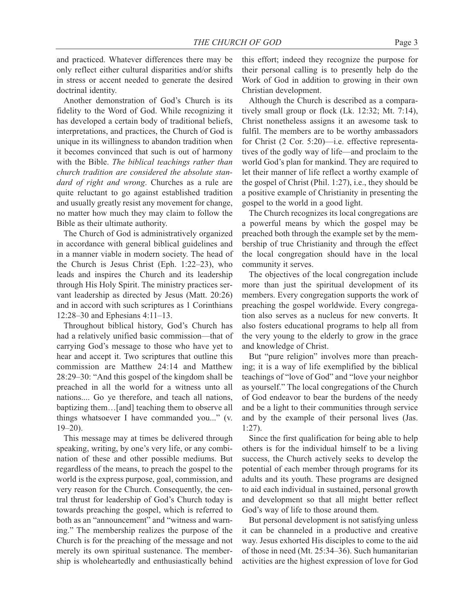and practiced. Whatever differences there may be only reflect either cultural disparities and/or shifts in stress or accent needed to generate the desired doctrinal identity.

Another demonstration of God's Church is its fidelity to the Word of God. While recognizing it has developed a certain body of traditional beliefs, interpretations, and practices, the Church of God is unique in its willingness to abandon tradition when it becomes convinced that such is out of harmony with the Bible. *The biblical teachings rather than church tradition are considered the absolute standard of right and wrong*. Churches as a rule are quite reluctant to go against established tradition and usually greatly resist any movement for change, no matter how much they may claim to follow the Bible as their ultimate authority.

The Church of God is administratively organized in accordance with general biblical guidelines and in a manner viable in modern society. The head of the Church is Jesus Christ (Eph. 1:22–23), who leads and inspires the Church and its leadership through His Holy Spirit. The ministry practices servant leadership as directed by Jesus (Matt. 20:26) and in accord with such scriptures as 1 Corinthians 12:28–30 and Ephesians 4:11–13.

Throughout biblical history, God's Church has had a relatively unified basic commission—that of carrying God's message to those who have yet to hear and accept it. Two scriptures that outline this commission are Matthew 24:14 and Matthew 28:29–30: "And this gospel of the kingdom shall be preached in all the world for a witness unto all nations.... Go ye therefore, and teach all nations, baptizing them…[and] teaching them to observe all things whatsoever I have commanded you..." (v. 19–20).

This message may at times be delivered through speaking, writing, by one's very life, or any combination of these and other possible mediums. But regardless of the means, to preach the gospel to the world is the express purpose, goal, commission, and very reason for the Church. Consequently, the central thrust for leadership of God's Church today is towards preaching the gospel, which is referred to both as an "announcement" and "witness and warning." The membership realizes the purpose of the Church is for the preaching of the message and not merely its own spiritual sustenance. The membership is wholeheartedly and enthusiastically behind this effort; indeed they recognize the purpose for their personal calling is to presently help do the Work of God in addition to growing in their own Christian development.

Although the Church is described as a comparatively small group or flock (Lk. 12:32; Mt. 7:14), Christ nonetheless assigns it an awesome task to fulfil. The members are to be worthy ambassadors for Christ (2 Cor. 5:20)—i.e. effective representatives of the godly way of life—and proclaim to the world God's plan for mankind. They are required to let their manner of life reflect a worthy example of the gospel of Christ (Phil. 1:27), i.e., they should be a positive example of Christianity in presenting the gospel to the world in a good light.

The Church recognizes its local congregations are a powerful means by which the gospel may be preached both through the example set by the membership of true Christianity and through the effect the local congregation should have in the local community it serves.

The objectives of the local congregation include more than just the spiritual development of its members. Every congregation supports the work of preaching the gospel worldwide. Every congregation also serves as a nucleus for new converts. It also fosters educational programs to help all from the very young to the elderly to grow in the grace and knowledge of Christ.

But "pure religion" involves more than preaching; it is a way of life exemplified by the biblical teachings of "love of God" and "love your neighbor as yourself." The local congregations of the Church of God endeavor to bear the burdens of the needy and be a light to their communities through service and by the example of their personal lives (Jas. 1:27).

Since the first qualification for being able to help others is for the individual himself to be a living success, the Church actively seeks to develop the potential of each member through programs for its adults and its youth. These programs are designed to aid each individual in sustained, personal growth and development so that all might better reflect God's way of life to those around them.

But personal development is not satisfying unless it can be channeled in a productive and creative way. Jesus exhorted His disciples to come to the aid of those in need (Mt. 25:34–36). Such humanitarian activities are the highest expression of love for God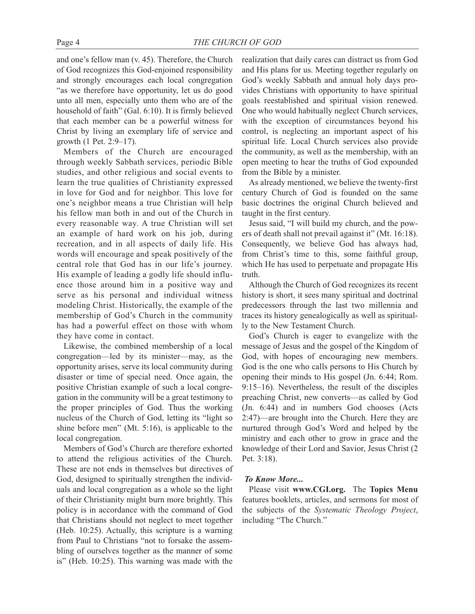and one's fellow man (v. 45). Therefore, the Church of God recognizes this God-enjoined responsibility and strongly encourages each local congregation "as we therefore have opportunity, let us do good unto all men, especially unto them who are of the household of faith" (Gal. 6:10). It is firmly believed that each member can be a powerful witness for Christ by living an exemplary life of service and growth (1 Pet. 2:9–17).

Members of the Church are encouraged through weekly Sabbath services, periodic Bible studies, and other religious and social events to learn the true qualities of Christianity expressed in love for God and for neighbor. This love for one's neighbor means a true Christian will help his fellow man both in and out of the Church in every reasonable way. A true Christian will set an example of hard work on his job, during recreation, and in all aspects of daily life. His words will encourage and speak positively of the central role that God has in our life's journey. His example of leading a godly life should influence those around him in a positive way and serve as his personal and individual witness modeling Christ. Historically, the example of the membership of God's Church in the community has had a powerful effect on those with whom they have come in contact.

Likewise, the combined membership of a local congregation—led by its minister—may, as the opportunity arises, serve its local community during disaster or time of special need. Once again, the positive Christian example of such a local congregation in the community will be a great testimony to the proper principles of God. Thus the working nucleus of the Church of God, letting its "light so shine before men" (Mt. 5:16), is applicable to the local congregation.

Members of God's Church are therefore exhorted to attend the religious activities of the Church. These are not ends in themselves but directives of God, designed to spiritually strengthen the individuals and local congregation as a whole so the light of their Christianity might burn more brightly. This policy is in accordance with the command of God that Christians should not neglect to meet together (Heb. 10:25). Actually, this scripture is a warning from Paul to Christians "not to forsake the assembling of ourselves together as the manner of some is" (Heb. 10:25). This warning was made with the

realization that daily cares can distract us from God and His plans for us. Meeting together regularly on God's weekly Sabbath and annual holy days provides Christians with opportunity to have spiritual goals reestablished and spiritual vision renewed. One who would habitually neglect Church services, with the exception of circumstances beyond his control, is neglecting an important aspect of his spiritual life. Local Church services also provide the community, as well as the membership, with an open meeting to hear the truths of God expounded from the Bible by a minister.

As already mentioned, we believe the twenty-first century Church of God is founded on the same basic doctrines the original Church believed and taught in the first century.

Jesus said, "I will build my church, and the powers of death shall not prevail against it" (Mt. 16:18). Consequently, we believe God has always had, from Christ's time to this, some faithful group, which He has used to perpetuate and propagate His truth.

Although the Church of God recognizes its recent history is short, it sees many spiritual and doctrinal predecessors through the last two millennia and traces its history genealogically as well as spiritually to the New Testament Church.

God's Church is eager to evangelize with the message of Jesus and the gospel of the Kingdom of God, with hopes of encouraging new members. God is the one who calls persons to His Church by opening their minds to His gospel (Jn. 6:44; Rom. 9:15–16). Nevertheless, the result of the disciples preaching Christ, new converts—as called by God (Jn. 6:44) and in numbers God chooses (Acts 2:47)—are brought into the Church. Here they are nurtured through God's Word and helped by the ministry and each other to grow in grace and the knowledge of their Lord and Savior, Jesus Christ (2 Pet. 3:18).

#### *To Know More...*

Please visit **www.CGI.org.** The **Topics Menu** features booklets, articles, and sermons for most of the subjects of the *Systematic Theology Project*, including "The Church."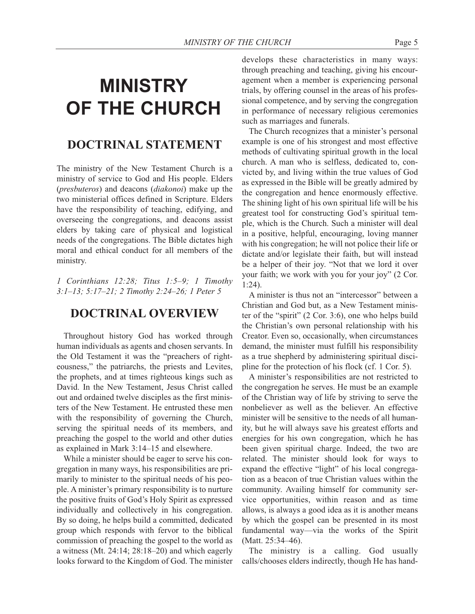# **MINISTRY OF THE CHURCH**

### **DOCTRINAL STATEMENT**

The ministry of the New Testament Church is a ministry of service to God and His people. Elders (*presbuteros*) and deacons (*diakonoi*) make up the two ministerial offices defined in Scripture. Elders have the responsibility of teaching, edifying, and overseeing the congregations, and deacons assist elders by taking care of physical and logistical needs of the congregations. The Bible dictates high moral and ethical conduct for all members of the ministry.

*1 Corinthians 12:28; Titus 1:5–9; 1 Timothy 3:1–13; 5:17–21; 2 Timothy 2:24–26; 1 Peter 5*

#### **DOCTRINAL OVERVIEW**

Throughout history God has worked through human individuals as agents and chosen servants. In the Old Testament it was the "preachers of righteousness," the patriarchs, the priests and Levites, the prophets, and at times righteous kings such as David. In the New Testament, Jesus Christ called out and ordained twelve disciples as the first ministers of the New Testament. He entrusted these men with the responsibility of governing the Church, serving the spiritual needs of its members, and preaching the gospel to the world and other duties as explained in Mark 3:14–15 and elsewhere.

While a minister should be eager to serve his congregation in many ways, his responsibilities are primarily to minister to the spiritual needs of his people. A minister's primary responsibility is to nurture the positive fruits of God's Holy Spirit as expressed individually and collectively in his congregation. By so doing, he helps build a committed, dedicated group which responds with fervor to the biblical commission of preaching the gospel to the world as a witness (Mt. 24:14; 28:18–20) and which eagerly looks forward to the Kingdom of God. The minister develops these characteristics in many ways: through preaching and teaching, giving his encouragement when a member is experiencing personal trials, by offering counsel in the areas of his professional competence, and by serving the congregation in performance of necessary religious ceremonies such as marriages and funerals.

The Church recognizes that a minister's personal example is one of his strongest and most effective methods of cultivating spiritual growth in the local church. A man who is selfless, dedicated to, convicted by, and living within the true values of God as expressed in the Bible will be greatly admired by the congregation and hence enormously effective. The shining light of his own spiritual life will be his greatest tool for constructing God's spiritual temple, which is the Church. Such a minister will deal in a positive, helpful, encouraging, loving manner with his congregation; he will not police their life or dictate and/or legislate their faith, but will instead be a helper of their joy. "Not that we lord it over your faith; we work with you for your joy" (2 Cor. 1:24).

A minister is thus not an "intercessor" between a Christian and God but, as a New Testament minister of the "spirit" (2 Cor. 3:6), one who helps build the Christian's own personal relationship with his Creator. Even so, occasionally, when circumstances demand, the minister must fulfill his responsibility as a true shepherd by administering spiritual discipline for the protection of his flock (cf. 1 Cor. 5).

A minister's responsibilities are not restricted to the congregation he serves. He must be an example of the Christian way of life by striving to serve the nonbeliever as well as the believer. An effective minister will be sensitive to the needs of all humanity, but he will always save his greatest efforts and energies for his own congregation, which he has been given spiritual charge. Indeed, the two are related. The minister should look for ways to expand the effective "light" of his local congregation as a beacon of true Christian values within the community. Availing himself for community service opportunities, within reason and as time allows, is always a good idea as it is another means by which the gospel can be presented in its most fundamental way—via the works of the Spirit (Matt. 25:34–46).

The ministry is a calling. God usually calls/chooses elders indirectly, though He has hand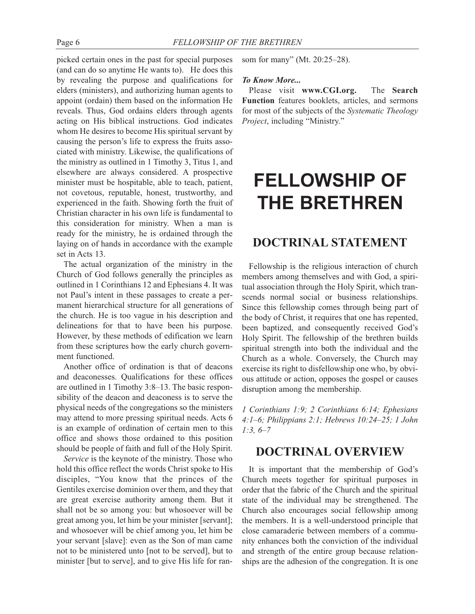picked certain ones in the past for special purposes (and can do so anytime He wants to). He does this by revealing the purpose and qualifications for elders (ministers), and authorizing human agents to appoint (ordain) them based on the information He reveals. Thus, God ordains elders through agents acting on His biblical instructions. God indicates whom He desires to become His spiritual servant by causing the person's life to express the fruits associated with ministry. Likewise, the qualifications of the ministry as outlined in 1 Timothy 3, Titus 1, and elsewhere are always considered. A prospective minister must be hospitable, able to teach, patient, not covetous, reputable, honest, trustworthy, and experienced in the faith. Showing forth the fruit of Christian character in his own life is fundamental to this consideration for ministry. When a man is ready for the ministry, he is ordained through the laying on of hands in accordance with the example set in Acts 13.

The actual organization of the ministry in the Church of God follows generally the principles as outlined in 1 Corinthians 12 and Ephesians 4. It was not Paul's intent in these passages to create a permanent hierarchical structure for all generations of the church. He is too vague in his description and delineations for that to have been his purpose. However, by these methods of edification we learn from these scriptures how the early church government functioned.

Another office of ordination is that of deacons and deaconesses. Qualifications for these offices are outlined in 1 Timothy 3:8–13. The basic responsibility of the deacon and deaconess is to serve the physical needs of the congregations so the ministers may attend to more pressing spiritual needs. Acts 6 is an example of ordination of certain men to this office and shows those ordained to this position should be people of faith and full of the Holy Spirit.

*Service* is the keynote of the ministry. Those who hold this office reflect the words Christ spoke to His disciples, "You know that the princes of the Gentiles exercise dominion over them, and they that are great exercise authority among them. But it shall not be so among you: but whosoever will be great among you, let him be your minister [servant]; and whosoever will be chief among you, let him be your servant [slave]: even as the Son of man came not to be ministered unto [not to be served], but to minister [but to serve], and to give His life for ransom for many" (Mt. 20:25–28).

#### *To Know More...*

Please visit **www.CGI.org.** The **Search Function** features booklets, articles, and sermons for most of the subjects of the *Systematic Theology Project*, including "Ministry."

# **FELLOWSHIP OF THE BRETHREN**

#### **DOCTRINAL STATEMENT**

Fellowship is the religious interaction of church members among themselves and with God, a spiritual association through the Holy Spirit, which transcends normal social or business relationships. Since this fellowship comes through being part of the body of Christ, it requires that one has repented, been baptized, and consequently received God's Holy Spirit. The fellowship of the brethren builds spiritual strength into both the individual and the Church as a whole. Conversely, the Church may exercise its right to disfellowship one who, by obvious attitude or action, opposes the gospel or causes disruption among the membership.

*1 Corinthians 1:9; 2 Corinthians 6:14; Ephesians 4:1–6; Philippians 2:1; Hebrews 10:24–25; 1 John 1:3, 6–7*

#### **DOCTRINAL OVERVIEW**

It is important that the membership of God's Church meets together for spiritual purposes in order that the fabric of the Church and the spiritual state of the individual may be strengthened. The Church also encourages social fellowship among the members. It is a well-understood principle that close camaraderie between members of a community enhances both the conviction of the individual and strength of the entire group because relationships are the adhesion of the congregation. It is one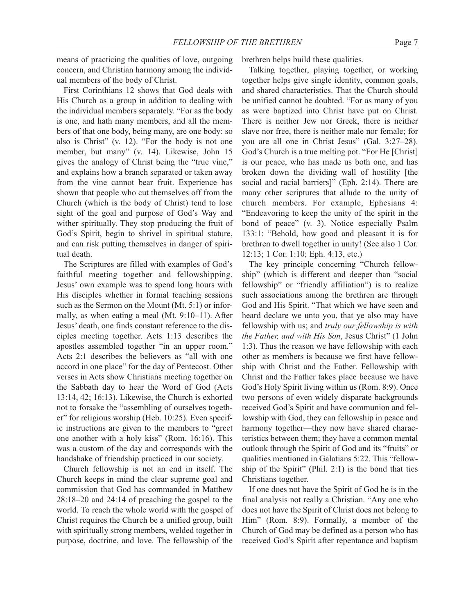means of practicing the qualities of love, outgoing concern, and Christian harmony among the individual members of the body of Christ.

First Corinthians 12 shows that God deals with His Church as a group in addition to dealing with the individual members separately. "For as the body is one, and hath many members, and all the members of that one body, being many, are one body: so also is Christ" (v. 12). "For the body is not one member, but many" (v. 14). Likewise, John 15 gives the analogy of Christ being the "true vine," and explains how a branch separated or taken away from the vine cannot bear fruit. Experience has shown that people who cut themselves off from the Church (which is the body of Christ) tend to lose sight of the goal and purpose of God's Way and wither spiritually. They stop producing the fruit of God's Spirit, begin to shrivel in spiritual stature, and can risk putting themselves in danger of spiritual death.

The Scriptures are filled with examples of God's faithful meeting together and fellowshipping. Jesus' own example was to spend long hours with His disciples whether in formal teaching sessions such as the Sermon on the Mount (Mt. 5:1) or informally, as when eating a meal (Mt. 9:10–11). After Jesus' death, one finds constant reference to the disciples meeting together. Acts 1:13 describes the apostles assembled together "in an upper room." Acts 2:1 describes the believers as "all with one accord in one place" for the day of Pentecost. Other verses in Acts show Christians meeting together on the Sabbath day to hear the Word of God (Acts 13:14, 42; 16:13). Likewise, the Church is exhorted not to forsake the "assembling of ourselves together" for religious worship (Heb. 10:25). Even specific instructions are given to the members to "greet one another with a holy kiss" (Rom. 16:16). This was a custom of the day and corresponds with the handshake of friendship practiced in our society.

Church fellowship is not an end in itself. The Church keeps in mind the clear supreme goal and commission that God has commanded in Matthew 28:18–20 and 24:14 of preaching the gospel to the world. To reach the whole world with the gospel of Christ requires the Church be a unified group, built with spiritually strong members, welded together in purpose, doctrine, and love. The fellowship of the brethren helps build these qualities.

Talking together, playing together, or working together helps give single identity, common goals, and shared characteristics. That the Church should be unified cannot be doubted. "For as many of you as were baptized into Christ have put on Christ. There is neither Jew nor Greek, there is neither slave nor free, there is neither male nor female; for you are all one in Christ Jesus" (Gal. 3:27–28). God's Church is a true melting pot. "For He [Christ] is our peace, who has made us both one, and has broken down the dividing wall of hostility [the social and racial barriers]" (Eph. 2:14). There are many other scriptures that allude to the unity of church members. For example, Ephesians 4: "Endeavoring to keep the unity of the spirit in the bond of peace" (v. 3). Notice especially Psalm 133:1: "Behold, how good and pleasant it is for brethren to dwell together in unity! (See also 1 Cor. 12:13; 1 Cor. 1:10; Eph. 4:13, etc.)

The key principle concerning "Church fellowship" (which is different and deeper than "social fellowship" or "friendly affiliation") is to realize such associations among the brethren are through God and His Spirit. "That which we have seen and heard declare we unto you, that ye also may have fellowship with us; and *truly our fellowship is with the Father, and with His Son*, Jesus Christ" (1 John 1:3). Thus the reason we have fellowship with each other as members is because we first have fellowship with Christ and the Father. Fellowship with Christ and the Father takes place because we have God's Holy Spirit living within us (Rom. 8:9). Once two persons of even widely disparate backgrounds received God's Spirit and have communion and fellowship with God, they can fellowship in peace and harmony together—they now have shared characteristics between them; they have a common mental outlook through the Spirit of God and its "fruits" or qualities mentioned in Galatians 5:22. This "fellowship of the Spirit" (Phil. 2:1) is the bond that ties Christians together.

If one does not have the Spirit of God he is in the final analysis not really a Christian. "Any one who does not have the Spirit of Christ does not belong to Him" (Rom. 8:9). Formally, a member of the Church of God may be defined as a person who has received God's Spirit after repentance and baptism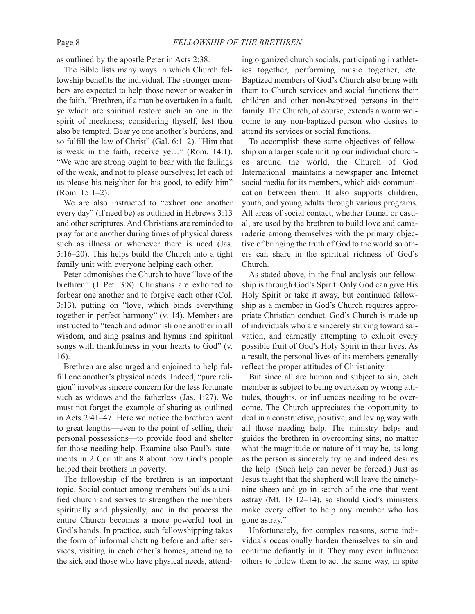as outlined by the apostle Peter in Acts 2:38.

The Bible lists many ways in which Church fellowship benefits the individual. The stronger members are expected to help those newer or weaker in the faith. "Brethren, if a man be overtaken in a fault, ye which are spiritual restore such an one in the spirit of meekness; considering thyself, lest thou also be tempted. Bear ye one another's burdens, and so fulfill the law of Christ" (Gal. 6:1–2). "Him that is weak in the faith, receive ye…" (Rom. 14:1). "We who are strong ought to bear with the failings of the weak, and not to please ourselves; let each of us please his neighbor for his good, to edify him" (Rom. 15:1–2).

We are also instructed to "exhort one another every day" (if need be) as outlined in Hebrews 3:13 and other scriptures. And Christians are reminded to pray for one another during times of physical duress such as illness or whenever there is need (Jas. 5:16–20). This helps build the Church into a tight family unit with everyone helping each other.

Peter admonishes the Church to have "love of the brethren" (1 Pet. 3:8). Christians are exhorted to forbear one another and to forgive each other (Col. 3:13), putting on "love, which binds everything together in perfect harmony" (v. 14). Members are instructed to "teach and admonish one another in all wisdom, and sing psalms and hymns and spiritual songs with thankfulness in your hearts to God" (v. 16).

Brethren are also urged and enjoined to help fulfill one another's physical needs. Indeed, "pure religion" involves sincere concern for the less fortunate such as widows and the fatherless (Jas. 1:27). We must not forget the example of sharing as outlined in Acts 2:41–47. Here we notice the brethren went to great lengths—even to the point of selling their personal possessions—to provide food and shelter for those needing help. Examine also Paul's statements in 2 Corinthians 8 about how God's people helped their brothers in poverty.

The fellowship of the brethren is an important topic. Social contact among members builds a unified church and serves to strengthen the members spiritually and physically, and in the process the entire Church becomes a more powerful tool in God's hands. In practice, such fellowshipping takes the form of informal chatting before and after services, visiting in each other's homes, attending to the sick and those who have physical needs, attend-

ing organized church socials, participating in athletics together, performing music together, etc. Baptized members of God's Church also bring with them to Church services and social functions their children and other non-baptized persons in their family. The Church, of course, extends a warm welcome to any non-baptized person who desires to attend its services or social functions.

To accomplish these same objectives of fellowship on a larger scale uniting our individual churches around the world, the Church of God International maintains a newspaper and Internet social media for its members, which aids communication between them. It also supports children, youth, and young adults through various programs. All areas of social contact, whether formal or casual, are used by the brethren to build love and camaraderie among themselves with the primary objective of bringing the truth of God to the world so others can share in the spiritual richness of God's Church.

As stated above, in the final analysis our fellowship is through God's Spirit. Only God can give His Holy Spirit or take it away, but continued fellowship as a member in God's Church requires appropriate Christian conduct. God's Church is made up of individuals who are sincerely striving toward salvation, and earnestly attempting to exhibit every possible fruit of God's Holy Spirit in their lives. As a result, the personal lives of its members generally reflect the proper attitudes of Christianity.

But since all are human and subject to sin, each member is subject to being overtaken by wrong attitudes, thoughts, or influences needing to be overcome. The Church appreciates the opportunity to deal in a constructive, positive, and loving way with all those needing help. The ministry helps and guides the brethren in overcoming sins, no matter what the magnitude or nature of it may be, as long as the person is sincerely trying and indeed desires the help. (Such help can never be forced.) Just as Jesus taught that the shepherd will leave the ninetynine sheep and go in search of the one that went astray (Mt. 18:12–14), so should God's ministers make every effort to help any member who has gone astray."

Unfortunately, for complex reasons, some individuals occasionally harden themselves to sin and continue defiantly in it. They may even influence others to follow them to act the same way, in spite